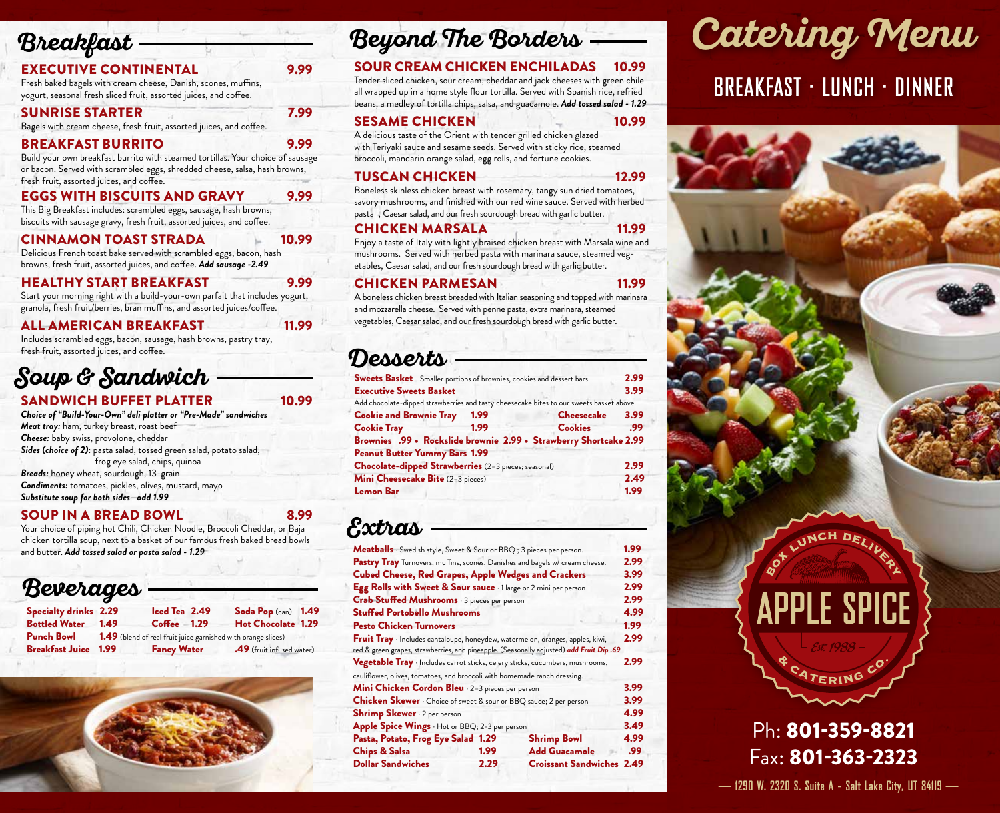## **Breakfast**

| <b>EXECUTIVE CONTINENTAL</b>                                                                                                        | 9.99 |
|-------------------------------------------------------------------------------------------------------------------------------------|------|
| Fresh baked bagels with cream cheese, Danish, scones, muffins,<br>yogurt, seasonal fresh sliced fruit, assorted juices, and coffee. |      |
| <b>SUNRISE STARTER</b><br>Bagels with cream cheese, fresh fruit, assorted juices, and coffee.                                       | 7.99 |
| <b>BREAKFAST BURRITO</b>                                                                                                            | 9.99 |
| Build your own breakfast burrito with steamed tortillas. Your choice of sausage                                                     |      |

Build your own breakfast burrito with steamed tortillas. Your choice of sausage or bacon. Served with scrambled eggs, shredded cheese, salsa, hash browns, fresh fruit, assorted juices, and coffee.

#### EGGS WITH BISCUITS AND GRAVY 9.99

This Big Breakfast includes: scrambled eggs, sausage, hash browns, biscuits with sausage gravy, fresh fruit, assorted juices, and coffee.

#### CINNAMON TOAST STRADA 10.99

Delicious French toast bake served with scrambled eggs, bacon, hash browns, fresh fruit, assorted juices, and coffee. *Add sausage -2.49*

HEALTHY START BREAKFAST 9.99

Start your morning right with a build-your-own parfait that includes yogurt, granola, fresh fruit/berries, bran muffins, and assorted juices/coffee.

ALL AMERICAN BREAKFAST 11.99

Includes scrambled eggs, bacon, sausage, hash browns, pastry tray, fresh fruit, assorted juices, and coffee.

## **Soup & Sandwich**

#### SANDWICH BUFFET PLATTER 10.99

*Choice of "Build-Your-Own" deli platter or "Pre-Made" sandwiches Meat tray:* ham, turkey breast, roast beef *Cheese:* baby swiss, provolone, cheddar *Sides (choice of 2)*: pasta salad, tossed green salad, potato salad, frog eye salad, chips, quinoa *Breads:* honey wheat, sourdough, 13-grain *Condiments:* tomatoes, pickles, olives, mustard, mayo

*Substitute soup for both sides—add 1.99*

#### SOUP IN A BREAD BOWL 8.99

Your choice of piping hot Chili, Chicken Noodle, Broccoli Cheddar, or Baja chicken tortilla soup, next to a basket of our famous fresh baked bread bowls and butter. *Add tossed salad or pasta salad - 1.29*

## **Beverages**

| <b>Specialty drinks 2.29</b> |                                                                      | Iced Tea 2.49      | Soda Pop (can) 1.49       |  |  |  |
|------------------------------|----------------------------------------------------------------------|--------------------|---------------------------|--|--|--|
| <b>Bottled Water</b>         | 1.49                                                                 | $Cof$ Fee $-1.29$  | Hot Chocolate 1.29        |  |  |  |
| <b>Punch Bowl</b>            | <b>1.49</b> (blend of real fruit juice garnished with orange slices) |                    |                           |  |  |  |
| <b>Breakfast Juice 1.99</b>  |                                                                      | <b>Fancy Water</b> | .49 (fruit infused water) |  |  |  |



## **Beyond The Borders**

### SOUR CREAM CHICKEN ENCHILADAS 10.99

Tender sliced chicken, sour cream, cheddar and jack cheeses with green chile all wrapped up in a home style flour tortilla. Served with Spanish rice, refried beans, a medley of tortilla chips, salsa, and guacamole. *Add tossed salad - 1.29*

#### SESAME CHICKEN 10.99

A delicious taste of the Orient with tender grilled chicken glazed with Teriyaki sauce and sesame seeds. Served with sticky rice, steamed broccoli, mandarin orange salad, egg rolls, and fortune cookies.

#### TUSCAN CHICKEN 12.99

Boneless skinless chicken breast with rosemary, tangy sun dried tomatoes, savory mushrooms, and finished with our red wine sauce. Served with herbed pasta , Caesar salad, and our fresh sourdough bread with garlic butter.

#### CHICKEN MARSALA 11.99

Enjoy a taste of Italy with lightly braised chicken breast with Marsala wine and mushrooms. Served with herbed pasta with marinara sauce, steamed vegetables, Caesar salad, and our fresh sourdough bread with garlic butter.

#### **CHICKEN PARMESAN 11.99**

#### A boneless chicken breast breaded with Italian seasoning and topped with marinara and mozzarella cheese. Served with penne pasta, extra marinara, steamed vegetables, Caesar salad, and our fresh sourdough bread with garlic butter.

## **Desserts**

| <b>Sweets Basket</b> Smaller portions of brownies, cookies and dessert bars.             |      |                   | 2.99 |
|------------------------------------------------------------------------------------------|------|-------------------|------|
| <b>Executive Sweets Basket</b>                                                           |      |                   | 3.99 |
| Add chocolate-dipped strawberries and tasty cheesecake bites to our sweets basket above. |      |                   |      |
| <b>Cookie and Brownie Tray</b>                                                           | 1.99 | <b>Cheesecake</b> | 3.99 |
| <b>Cookie Tray</b>                                                                       | 1.99 | <b>Cookies</b>    | .99  |
| Brownies .99 • Rockslide brownie 2.99 • Strawberry Shortcake 2.99                        |      |                   |      |
| <b>Peanut Butter Yummy Bars 1.99</b>                                                     |      |                   |      |
| Chocolate-dipped Strawberries (2-3 pieces; seasonal)                                     |      |                   | 2.99 |
| <b>Mini Cheesecake Bite</b> (2-3 pieces)                                                 |      |                   | 2.49 |
| <b>Lemon Bar</b>                                                                         |      |                   | 1.99 |

## **Extras**

| Meatballs · Swedish style, Sweet & Sour or BBQ; 3 pieces per person.                    |      |                                  |      |
|-----------------------------------------------------------------------------------------|------|----------------------------------|------|
| Pastry Tray Turnovers, muffins, scones, Danishes and bagels w/ cream cheese.            |      |                                  | 2.99 |
| <b>Cubed Cheese, Red Grapes, Apple Wedges and Crackers</b>                              |      |                                  | 3.99 |
| Egg Rolls with Sweet & Sour sauce 1 large or 2 mini per person                          |      |                                  | 2.99 |
| <b>Crab Stuffed Mushrooms</b> 3 pieces per person                                       |      |                                  | 2.99 |
| <b>Stuffed Portobello Mushrooms</b>                                                     |      |                                  | 4.99 |
| <b>Pesto Chicken Turnovers</b>                                                          |      |                                  | 1.99 |
| Fruit Tray · Includes cantaloupe, honeydew, watermelon, oranges, apples, kiwi,          |      |                                  | 2.99 |
| red & green grapes, strawberries, and pineapple. (Seasonally adjusted) add Fruit Dip.69 |      |                                  |      |
| Vegetable Tray · Includes carrot sticks, celery sticks, cucumbers, mushrooms,           |      |                                  | 2.99 |
| cauliflower, olives, tomatoes, and broccoli with homemade ranch dressing.               |      |                                  |      |
| Mini Chicken Cordon Bleu · 2-3 pieces per person                                        |      |                                  | 3.99 |
| Chicken Skewer · Choice of sweet & sour or BBQ sauce; 2 per person                      |      |                                  | 3.99 |
| <b>Shrimp Skewer</b> . 2 per person                                                     |      |                                  | 4.99 |
| Apple Spice Wings · Hot or BBQ; 2-3 per person                                          |      |                                  | 3.49 |
| Pasta, Potato, Frog Eye Salad 1.29                                                      |      | <b>Shrimp Bowl</b>               | 4.99 |
| <b>Chips &amp; Salsa</b>                                                                | 1.99 | <b>Add Guacamole</b>             | .99  |
| <b>Dollar Sandwiches</b>                                                                | 2.29 | <b>Croissant Sandwiches 2.49</b> |      |

# **Catering Menu**

## **BREAKFAST · LUNCH · DINNER**



## Ph: 801-359-8821 Fax: 801-363-2323

**— 1290 W. 2320 S. Suite A - Salt Lake City, UT 84119 —**